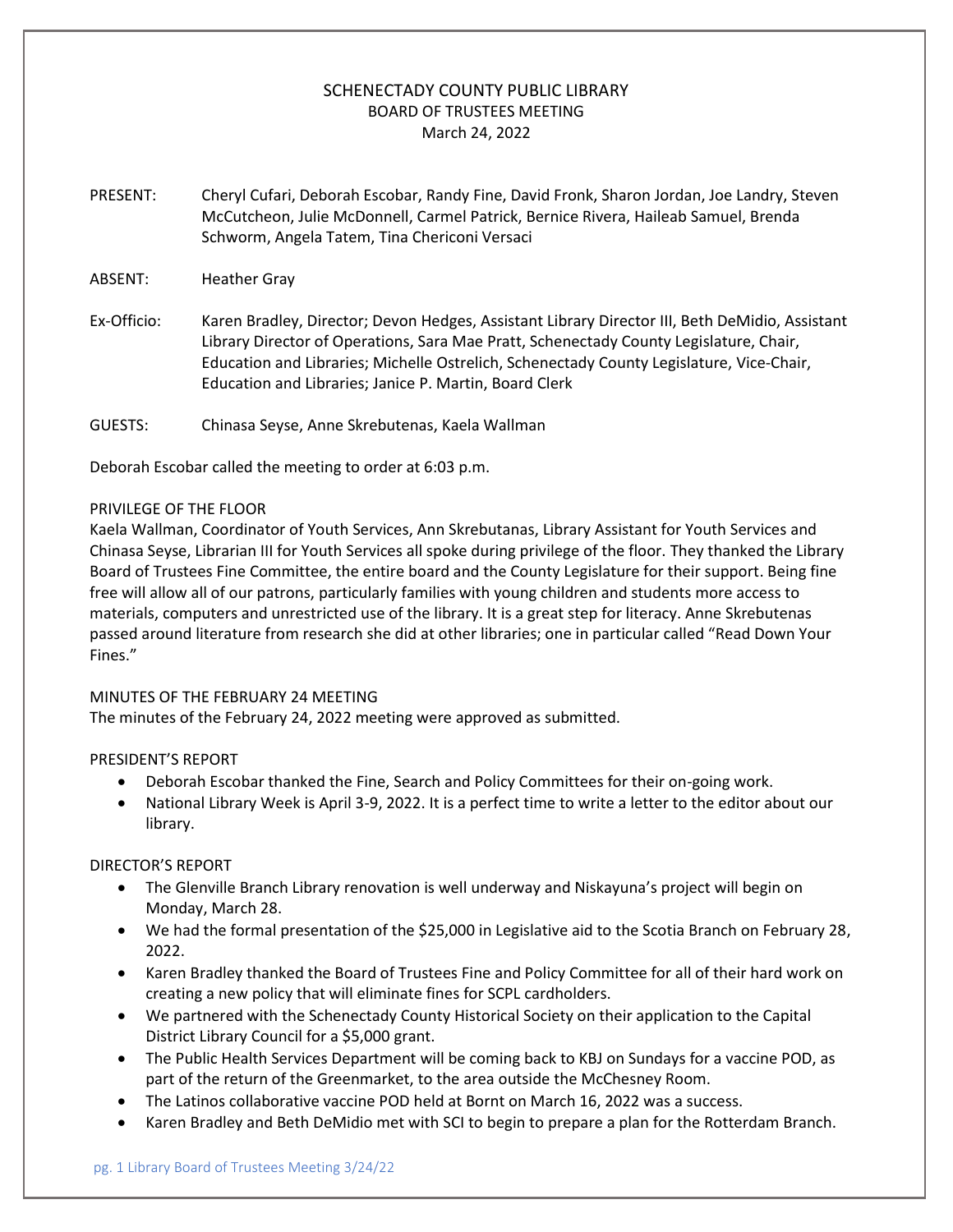# SCHENECTADY COUNTY PUBLIC LIBRARY BOARD OF TRUSTEES MEETING March 24, 2022

- PRESENT: Cheryl Cufari, Deborah Escobar, Randy Fine, David Fronk, Sharon Jordan, Joe Landry, Steven McCutcheon, Julie McDonnell, Carmel Patrick, Bernice Rivera, Haileab Samuel, Brenda Schworm, Angela Tatem, Tina Chericoni Versaci
- ABSENT: Heather Gray
- Ex-Officio: Karen Bradley, Director; Devon Hedges, Assistant Library Director III, Beth DeMidio, Assistant Library Director of Operations, Sara Mae Pratt, Schenectady County Legislature, Chair, Education and Libraries; Michelle Ostrelich, Schenectady County Legislature, Vice-Chair, Education and Libraries; Janice P. Martin, Board Clerk
- GUESTS: Chinasa Seyse, Anne Skrebutenas, Kaela Wallman

Deborah Escobar called the meeting to order at 6:03 p.m.

#### PRIVILEGE OF THE FLOOR

Kaela Wallman, Coordinator of Youth Services, Ann Skrebutanas, Library Assistant for Youth Services and Chinasa Seyse, Librarian III for Youth Services all spoke during privilege of the floor. They thanked the Library Board of Trustees Fine Committee, the entire board and the County Legislature for their support. Being fine free will allow all of our patrons, particularly families with young children and students more access to materials, computers and unrestricted use of the library. It is a great step for literacy. Anne Skrebutenas passed around literature from research she did at other libraries; one in particular called "Read Down Your Fines."

## MINUTES OF THE FEBRUARY 24 MEETING

The minutes of the February 24, 2022 meeting were approved as submitted.

## PRESIDENT'S REPORT

- Deborah Escobar thanked the Fine, Search and Policy Committees for their on-going work.
- National Library Week is April 3-9, 2022. It is a perfect time to write a letter to the editor about our library.

DIRECTOR'S REPORT

- The Glenville Branch Library renovation is well underway and Niskayuna's project will begin on Monday, March 28.
- We had the formal presentation of the \$25,000 in Legislative aid to the Scotia Branch on February 28, 2022.
- Karen Bradley thanked the Board of Trustees Fine and Policy Committee for all of their hard work on creating a new policy that will eliminate fines for SCPL cardholders.
- We partnered with the Schenectady County Historical Society on their application to the Capital District Library Council for a \$5,000 grant.
- The Public Health Services Department will be coming back to KBJ on Sundays for a vaccine POD, as part of the return of the Greenmarket, to the area outside the McChesney Room.
- The Latinos collaborative vaccine POD held at Bornt on March 16, 2022 was a success.
- Karen Bradley and Beth DeMidio met with SCI to begin to prepare a plan for the Rotterdam Branch.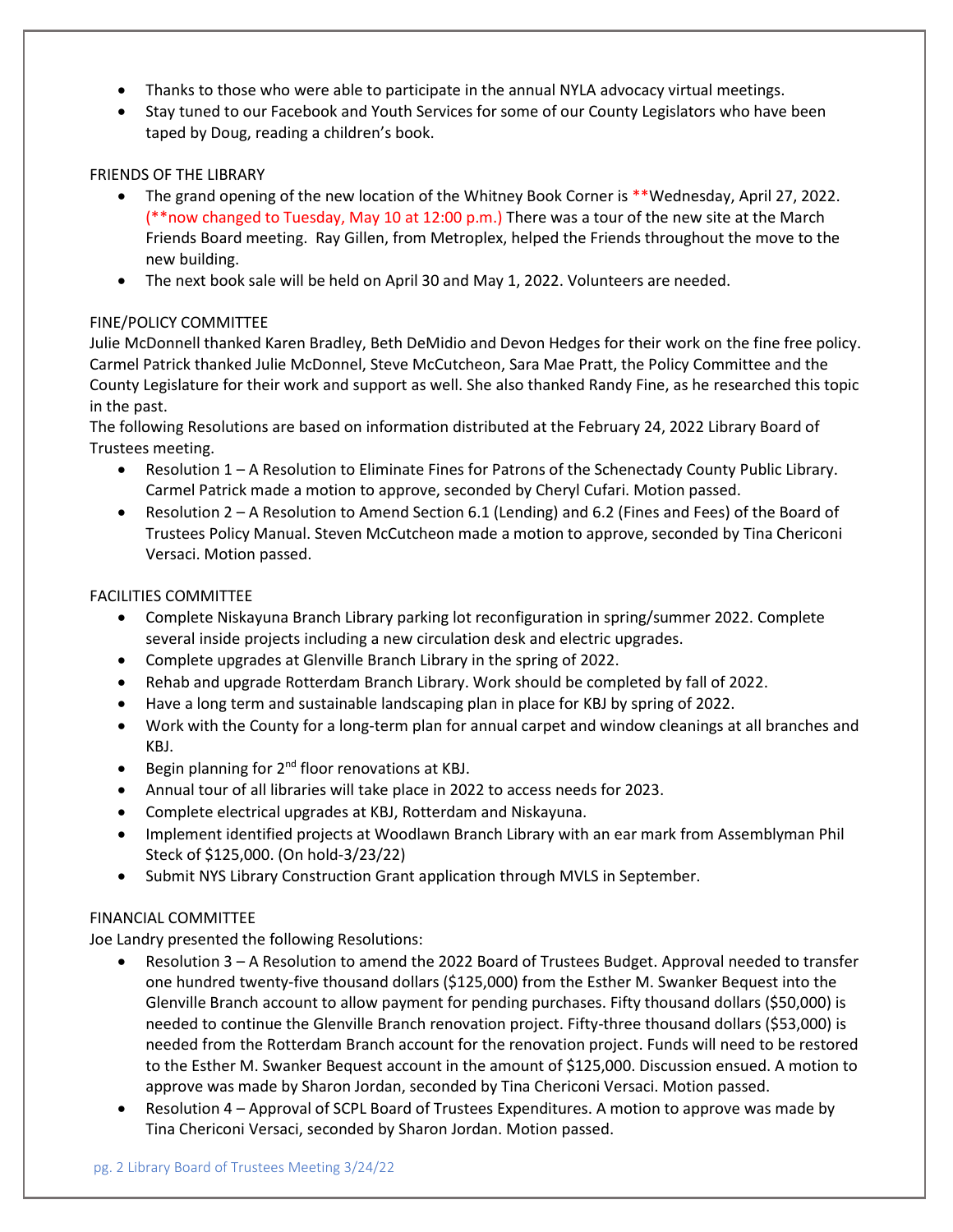- Thanks to those who were able to participate in the annual NYLA advocacy virtual meetings.
- Stay tuned to our Facebook and Youth Services for some of our County Legislators who have been taped by Doug, reading a children's book.

## FRIENDS OF THE LIBRARY

- The grand opening of the new location of the Whitney Book Corner is \*\*Wednesday, April 27, 2022. (\*\*now changed to Tuesday, May 10 at 12:00 p.m.) There was a tour of the new site at the March Friends Board meeting. Ray Gillen, from Metroplex, helped the Friends throughout the move to the new building.
- The next book sale will be held on April 30 and May 1, 2022. Volunteers are needed.

## FINE/POLICY COMMITTEE

Julie McDonnell thanked Karen Bradley, Beth DeMidio and Devon Hedges for their work on the fine free policy. Carmel Patrick thanked Julie McDonnel, Steve McCutcheon, Sara Mae Pratt, the Policy Committee and the County Legislature for their work and support as well. She also thanked Randy Fine, as he researched this topic in the past.

The following Resolutions are based on information distributed at the February 24, 2022 Library Board of Trustees meeting.

- Resolution 1 A Resolution to Eliminate Fines for Patrons of the Schenectady County Public Library. Carmel Patrick made a motion to approve, seconded by Cheryl Cufari. Motion passed.
- Resolution 2 A Resolution to Amend Section 6.1 (Lending) and 6.2 (Fines and Fees) of the Board of Trustees Policy Manual. Steven McCutcheon made a motion to approve, seconded by Tina Chericoni Versaci. Motion passed.

## FACILITIES COMMITTEE

- Complete Niskayuna Branch Library parking lot reconfiguration in spring/summer 2022. Complete several inside projects including a new circulation desk and electric upgrades.
- Complete upgrades at Glenville Branch Library in the spring of 2022.
- Rehab and upgrade Rotterdam Branch Library. Work should be completed by fall of 2022.
- Have a long term and sustainable landscaping plan in place for KBJ by spring of 2022.
- Work with the County for a long-term plan for annual carpet and window cleanings at all branches and KBJ.
- Begin planning for  $2^{nd}$  floor renovations at KBJ.
- Annual tour of all libraries will take place in 2022 to access needs for 2023.
- Complete electrical upgrades at KBJ, Rotterdam and Niskayuna.
- Implement identified projects at Woodlawn Branch Library with an ear mark from Assemblyman Phil Steck of \$125,000. (On hold-3/23/22)
- Submit NYS Library Construction Grant application through MVLS in September.

## FINANCIAL COMMITTEE

Joe Landry presented the following Resolutions:

- Resolution 3 A Resolution to amend the 2022 Board of Trustees Budget. Approval needed to transfer one hundred twenty-five thousand dollars (\$125,000) from the Esther M. Swanker Bequest into the Glenville Branch account to allow payment for pending purchases. Fifty thousand dollars (\$50,000) is needed to continue the Glenville Branch renovation project. Fifty-three thousand dollars (\$53,000) is needed from the Rotterdam Branch account for the renovation project. Funds will need to be restored to the Esther M. Swanker Bequest account in the amount of \$125,000. Discussion ensued. A motion to approve was made by Sharon Jordan, seconded by Tina Chericoni Versaci. Motion passed.
- Resolution 4 Approval of SCPL Board of Trustees Expenditures. A motion to approve was made by Tina Chericoni Versaci, seconded by Sharon Jordan. Motion passed.